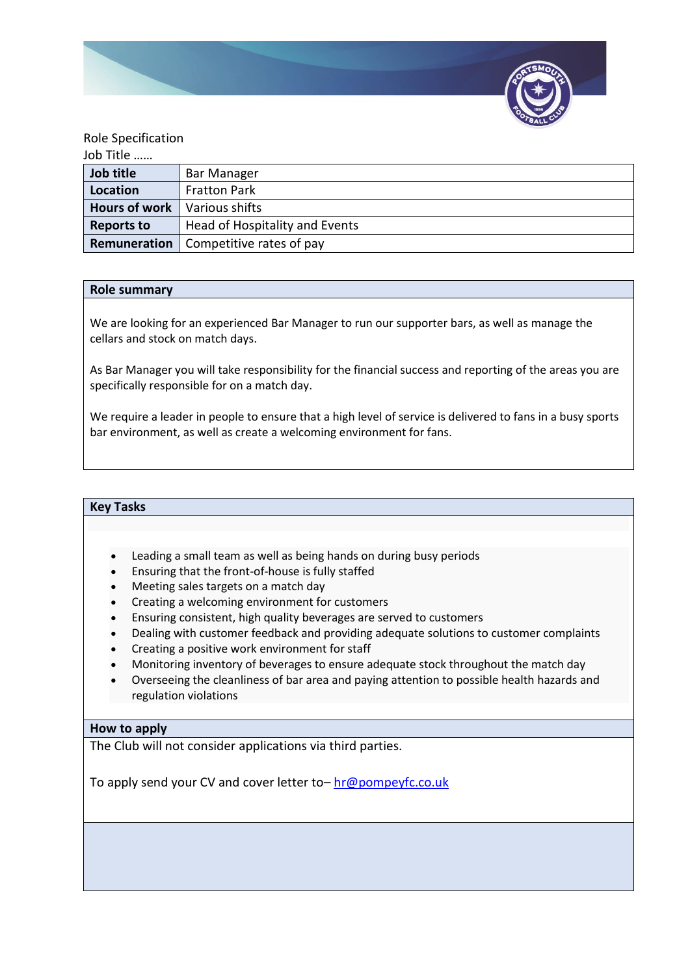

### Role Specification

| Job Title            |                                |
|----------------------|--------------------------------|
| Job title            | <b>Bar Manager</b>             |
| Location             | <b>Fratton Park</b>            |
| <b>Hours of work</b> | Various shifts                 |
| <b>Reports to</b>    | Head of Hospitality and Events |
| Remuneration         | Competitive rates of pay       |

#### **Role summary**

We are looking for an experienced Bar Manager to run our supporter bars, as well as manage the cellars and stock on match days.

As Bar Manager you will take responsibility for the financial success and reporting of the areas you are specifically responsible for on a match day.

We require a leader in people to ensure that a high level of service is delivered to fans in a busy sports bar environment, as well as create a welcoming environment for fans.

# **Key Tasks**

- Leading a small team as well as being hands on during busy periods
- Ensuring that the front-of-house is fully staffed
- Meeting sales targets on a match day
- Creating a welcoming environment for customers
- Ensuring consistent, high quality beverages are served to customers
- Dealing with customer feedback and providing adequate solutions to customer complaints
- Creating a positive work environment for staff
- Monitoring inventory of beverages to ensure adequate stock throughout the match day
- Overseeing the cleanliness of bar area and paying attention to possible health hazards and regulation violations

### **How to apply**

The Club will not consider applications via third parties.

To apply send your CV and cover letter to– [hr@pompeyfc.co.uk](mailto:hr@pompeyfc.co.uk)